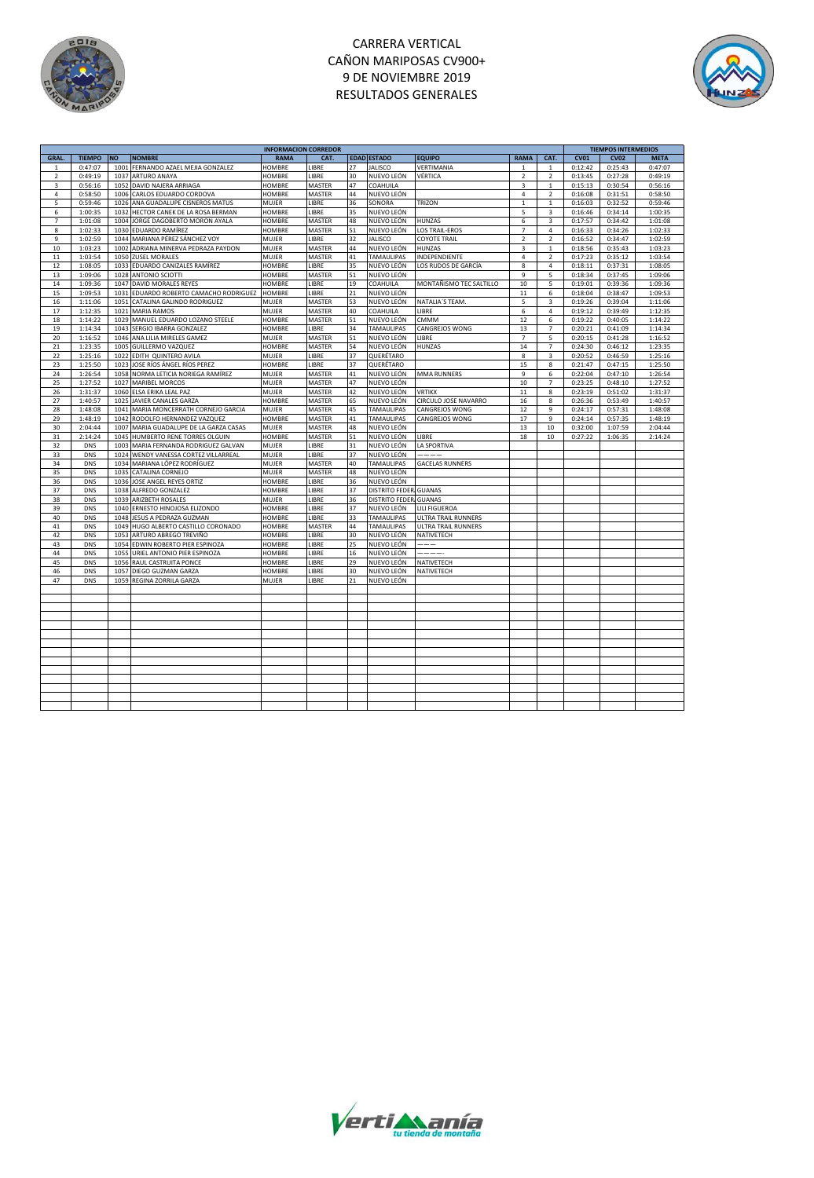

# CARRERA VERTICAL CAÑON MARIPOSAS CV900+ 9 DE NOVIEMBRE 2019 RESULTADOS GENERALES



|                          |               |           |                                   | <b>INFORMACION CORREDOR</b> |        |    |                        | <b>TIEMPOS INTERMEDIOS</b> |                |                         |             |             |             |
|--------------------------|---------------|-----------|-----------------------------------|-----------------------------|--------|----|------------------------|----------------------------|----------------|-------------------------|-------------|-------------|-------------|
| GRAL.                    | <b>TIEMPO</b> | <b>NO</b> | <b>NOMBRE</b>                     | <b>RAMA</b>                 | CAT.   |    | <b>EDAD ESTADO</b>     | <b>EQUIPO</b>              | <b>RAMA</b>    | CAT.                    | <b>CV01</b> | <b>CV02</b> | <b>META</b> |
| $\mathbf{1}$             | 0:47:07       | 1001      | FERNANDO AZAEL MEJIA GONZALEZ     | <b>HOMBRE</b>               | LIBRE  | 27 | <b>JALISCO</b>         | VERTIMANIA                 | $\mathbf{1}$   | $\mathbf{1}$            | 0:12:42     | 0:25:43     | 0:47:07     |
| $\mathbf 2$              | 0:49:19       | 1037      | ARTURO ANAYA                      | HOMBRE                      | LIBRE  | 30 | NUEVO LEÓN             | VÉRTICA                    | $\sqrt{2}$     | $\mathbf 2$             | 0:13:45     | 0:27:28     | 0:49:19     |
| 3                        | 0:56:16       | 1052      | DAVID NAJERA ARRIAGA              | HOMBRE                      | MASTER | 47 | COAHUILA               |                            | 3              | $\,1\,$                 | 0:15:13     | 0:30:54     | 0:56:16     |
|                          |               |           |                                   |                             |        |    |                        |                            |                |                         |             |             |             |
| $\sqrt{4}$               | 0:58:50       | 1006      | CARLOS EDUARDO CORDOVA            | HOMBRE                      | MASTER | 44 | NUEVO LEÓN             |                            | 4              | $\mathbf 2$             | 0:16:08     | 0:31:51     | 0:58:50     |
| 5                        | 0:59:46       | 1026      | ANA GUADALUPE CISNEROS MATUS      | MUJER                       | LIBRE  | 36 | SONORA                 | TRIZON                     | $\mathbf 1$    | $\mathbf 1$             | 0:16:03     | 0:32:52     | 0:59:46     |
| 6                        | 1:00:35       | 1032      | HECTOR CANEK DE LA ROSA BERMAN    | HOMBRE                      | LIBRE  | 35 | NUEVO LEÓN             |                            | 5              | 3                       | 0:16:46     | 0:34:14     | 1:00:35     |
| $\overline{\phantom{a}}$ | 1:01:08       | 1004      | JORGE DAGOBERTO MORON AYALA       | HOMBRE                      | MASTER | 48 | NUEVO LEÓN             | HUNZAS                     | 6              | $\mathsf 3$             | 0:17:57     | 0:34:42     | 1:01:08     |
| 8                        | 1:02:33       | 1030      | EDUARDO RAMÍREZ                   | HOMBRE                      | MASTER | 51 | NUEVO LEÓN             | <b>LOS TRAIL-EROS</b>      | 7              | $\sqrt{4}$              | 0:16:33     | 0:34:26     | 1:02:33     |
| 9                        | 1:02:59       | 1044      | MARIANA PÉREZ SÁNCHEZ VOY         | MUJER                       | LIBRE  | 32 | <b>JALISCO</b>         | <b>COYOTE TRAIL</b>        | $\overline{2}$ | $\overline{2}$          | 0:16:52     | 0:34:47     | 1:02:59     |
| 10                       | 1:03:23       | 1002      | ADRIANA MINERVA PEDRAZA PAYDON    | MUJER                       | MASTER | 44 | NUEVO LEÓN             | <b>HUNZAS</b>              | 3              | $\mathbf{1}$            | 0:18:56     | 0:35:43     | 1:03:23     |
| $11\,$                   | 1:03:54       | 1050      | <b>ZUSEL MORALES</b>              | MUJER                       | MASTER | 41 | TAMAULIPAS             | INDEPENDIENTE              | 4              | $\overline{2}$          | 0:17:23     | 0:35:12     | 1:03:54     |
| 12                       | 1:08:05       | 1033      | EDUARDO CANIZALES RAMÍREZ         | HOMBRE                      | LIBRE  | 35 | NUEVO LEÓN             | LOS RUDOS DE GARCÍA        | 8              | $\sqrt{4}$              | 0:18:11     | 0:37:31     | 1:08:05     |
| 13                       | 1:09:06       | 1028      | ANTONIO SCIOTTI                   | HOMBRE                      | MASTER | 51 | NUEVO LEÓN             |                            | 9              | 5                       | 0:18:34     | 0:37:45     | 1:09:06     |
| 14                       | 1:09:36       | 1047      | DAVID MORALES REYES               | HOMBRE                      | LIBRE  | 19 | COAHUILA               | MONTAÑISMO TEC SALTILLO    | 10             | 5                       | 0:19:01     | 0:39:36     | 1:09:36     |
| 15                       | 1:09:53       | 1031      | EDUARDO ROBERTO CAMACHO RODRIGUEZ | <b>HOMBRE</b>               | LIBRE  | 21 | NUEVO LEÓN             |                            | 11             | 6                       | 0:18:04     | 0:38:47     | 1:09:53     |
| 16                       | 1:11:06       | 1051      | CATALINA GALINDO RODRIGUEZ        | MUJER                       | MASTER | 53 | NUEVO LEÓN             | NATALIA'S TEAM.            | 5              | $\overline{\mathbf{3}}$ | 0:19:26     | 0:39:04     | 1:11:06     |
| 17                       | 1:12:35       | 1021      | <b>MARIA RAMOS</b>                | MUJER                       | MASTER | 40 | COAHUILA               | LIBRE                      | 6              | $\sqrt{4}$              | 0:19:12     | 0:39:49     | 1:12:35     |
|                          | 1:14:22       |           |                                   |                             |        | 51 | NUEVO LEÓN             |                            |                |                         |             |             |             |
| 18                       |               | 1029      | MANUEL EDUARDO LOZANO STEELE      | HOMBRE                      | MASTER |    |                        | CMMM                       | 12             | 6                       | 0:19:22     | 0:40:05     | 1:14:22     |
| 19                       | 1:14:34       | 1043      | SERGIO IBARRA GONZALEZ            | HOMBRE                      | LIBRE  | 34 | TAMAULIPAS             | CANGREJOS WONG             | 13             | $\overline{7}$          | 0:20:21     | 0:41:09     | 1:14:34     |
| 20                       | 1:16:52       | 1046      | ANA LILIA MIRELES GAMEZ           | MUJER                       | MASTER | 51 | NUEVO LEÓN             | LIBRE                      | $\overline{7}$ | 5                       | 0:20:15     | 0:41:28     | 1:16:52     |
| 21                       | 1:23:35       | 1005      | <b>GUILLERMO VAZQUEZ</b>          | <b>HOMBRE</b>               | MASTER | 54 | NUEVO LEÓN             | <b>HUNZAS</b>              | 14             | $\overline{7}$          | 0:24:30     | 0:46:12     | 1:23:35     |
| 22                       | 1:25:16       | 1022      | EDITH QUINTERO AVILA              | MUJER                       | LIBRE  | 37 | QUERÉTARO              |                            | $\bf8$         | $\mathsf 3$             | 0:20:52     | 0:46:59     | 1:25:16     |
| 23                       | 1:25:50       | 1023      | JOSE RÍOS ÁNGEL RÍOS PEREZ        | HOMBRE                      | LIBRE  | 37 | QUERÉTARO              |                            | 15             | 8                       | 0:21:47     | 0:47:15     | 1:25:50     |
| 24                       | 1:26:54       | 1058      | NORMA LETICIA NORIEGA RAMÍREZ     | MUJER                       | MASTER | 41 | NUEVO LEÓN             | <b>MMA RUNNERS</b>         | $\overline{9}$ | 6                       | 0:22:04     | 0:47:10     | 1:26:54     |
| 25                       | 1:27:52       | 1027      | <b>MARIBEL MORCOS</b>             | MUJER                       | MASTER | 47 | NUEVO LEÓN             |                            | 10             | $\overline{7}$          | 0:23:25     | 0:48:10     | 1:27:52     |
| 26                       | 1:31:37       | 1060      | ELSA ERIKA LEAL PAZ               | MUJER                       | MASTER | 42 | NUEVO LEÓN             | <b>VRTIKX</b>              | 11             | 8                       | 0:23:19     | 0:51:02     | 1:31:37     |
| 27                       | 1:40:57       | 1025      | JAVIER CANALES GARZA              | HOMBRE                      | MASTER | 65 | NUEVO LEÓN             | CIRCULO JOSE NAVARRO       | 16             | 8                       | 0:26:36     | 0:53:49     | 1:40:57     |
| 28                       | 1:48:08       | 1041      | MARIA MONCERRATH CORNEJO GARCIA   | MUJER                       | MASTER | 45 | TAMAULIPAS             | CANGREJOS WONG             | 12             | $\overline{9}$          | 0:24:17     | 0:57:31     | 1:48:08     |
| 29                       | 1:48:19       | 1042      | RODOLFO HERNANDEZ VAZQUEZ         | HOMBRE                      | MASTER | 41 | TAMAULIPAS             | CANGREJOS WONG             | 17             | $\overline{9}$          | 0:24:14     | 0:57:35     | 1:48:19     |
| 30                       | 2:04:44       | 1007      | MARIA GUADALUPE DE LA GARZA CASAS | MUJER                       | MASTER | 48 | NUEVO LEÓN             |                            | 13             | 10                      | 0:32:00     | 1:07:59     | 2:04:44     |
| 31                       | 2:14:24       | 1045      | HUMBERTO RENE TORRES OLGUIN       | HOMBRE                      | MASTER | 51 | NUEVO LEÓN             | LIBRE                      | 18             | 10                      | 0:27:22     | 1:06:35     | 2:14:24     |
|                          |               |           |                                   |                             |        |    |                        |                            |                |                         |             |             |             |
| 32                       | DNS           | 1003      | MARIA FERNANDA RODRIGUEZ GALVAN   | MUJER                       | LIBRE  | 31 | NUEVO LEÓN             | <b>LA SPORTIVA</b>         |                |                         |             |             |             |
| 33                       | <b>DNS</b>    | 1024      | WENDY VANESSA CORTEZ VILLARREAL   | MUJER                       | LIBRE  | 37 | NUEVO LEÓN             | ----                       |                |                         |             |             |             |
| 34                       | DNS           | 1034      | MARIANA LÓPEZ RODRÍGUEZ           | MUJER                       | MASTER | 40 | TAMAULIPAS             | <b>GACELAS RUNNERS</b>     |                |                         |             |             |             |
| 35                       | DNS           | 1035      | CATALINA CORNEJO                  | MUJER                       | MASTER | 48 | NUEVO LEÓN             |                            |                |                         |             |             |             |
| 36                       | DNS           | 1036      | JOSE ANGEL REYES ORTIZ            | <b>HOMBRE</b>               | LIBRE  | 36 | NUEVO LEÓN             |                            |                |                         |             |             |             |
| 37                       | DNS           | 1038      | ALFREDO GONZALEZ                  | HOMBRE                      | LIBRE  | 37 | DISTRITO FEDER, GUANAS |                            |                |                         |             |             |             |
| 38                       | <b>DNS</b>    | 1039      | ARIZBETH ROSALES                  | MUJER                       | LIBRE  | 36 | DISTRITO FEDER, GUANAS |                            |                |                         |             |             |             |
| 39                       | <b>DNS</b>    | 1040      | ERNESTO HINOJOSA ELIZONDO         | HOMBRE                      | LIBRE  | 37 | NUEVO LEÓN             | LILI FIGUEROA              |                |                         |             |             |             |
| 40                       | DNS           | 1048      | JESUS A PEDRAZA GUZMAN            | HOMBRE                      | LIBRE  | 33 | <b>TAMAULIPAS</b>      | ULTRA TRAIL RUNNERS        |                |                         |             |             |             |
| 41                       | DNS           | 1049      | HUGO ALBERTO CASTILLO CORONADO    | <b>HOMBRE</b>               | MASTER | 44 | <b>TAMAULIPAS</b>      | ULTRA TRAIL RUNNERS        |                |                         |             |             |             |
| 42                       | DNS           | 1053      | ARTURO ABREGO TREVIÑO             | HOMBRE                      | LIBRE  | 30 | NUEVO LEÓN             | NATIVETECH                 |                |                         |             |             |             |
| 43                       | DNS           | 1054      | EDWIN ROBERTO PIER ESPINOZA       | HOMBRE                      | LIBRE  | 25 | NUEVO LEÓN             | ---                        |                |                         |             |             |             |
| 44                       | DNS           | 1055      | URIEL ANTONIO PIER ESPINOZA       | HOMBRE                      | LIBRE  | 16 | NUEVO LEÓN             | ----                       |                |                         |             |             |             |
| 45                       | DNS           | 1056      | RAUL CASTRUITA PONCE              | HOMBRE                      | LIBRE  | 29 | NUEVO LEÓN             | NATIVETECH                 |                |                         |             |             |             |
|                          |               |           |                                   |                             | LIBRE  |    |                        |                            |                |                         |             |             |             |
| 46                       | <b>DNS</b>    | 1057      | DIEGO GUZMAN GARZA                | HOMBRE                      |        | 30 | NUEVO LEÓN             | <b>NATIVETECH</b>          |                |                         |             |             |             |
| 47                       | <b>DNS</b>    | 1059      | REGINA ZORRILA GARZA              | MUJER                       | LIBRE  | 21 | NUEVO LEÓN             |                            |                |                         |             |             |             |
|                          |               |           |                                   |                             |        |    |                        |                            |                |                         |             |             |             |
|                          |               |           |                                   |                             |        |    |                        |                            |                |                         |             |             |             |
|                          |               |           |                                   |                             |        |    |                        |                            |                |                         |             |             |             |
|                          |               |           |                                   |                             |        |    |                        |                            |                |                         |             |             |             |
|                          |               |           |                                   |                             |        |    |                        |                            |                |                         |             |             |             |
|                          |               |           |                                   |                             |        |    |                        |                            |                |                         |             |             |             |
|                          |               |           |                                   |                             |        |    |                        |                            |                |                         |             |             |             |
|                          |               |           |                                   |                             |        |    |                        |                            |                |                         |             |             |             |
|                          |               |           |                                   |                             |        |    |                        |                            |                |                         |             |             |             |
|                          |               |           |                                   |                             |        |    |                        |                            |                |                         |             |             |             |
|                          |               |           |                                   |                             |        |    |                        |                            |                |                         |             |             |             |
|                          |               |           |                                   |                             |        |    |                        |                            |                |                         |             |             |             |
|                          |               |           |                                   |                             |        |    |                        |                            |                |                         |             |             |             |
|                          |               |           |                                   |                             |        |    |                        |                            |                |                         |             |             |             |
|                          |               |           |                                   |                             |        |    |                        |                            |                |                         |             |             |             |

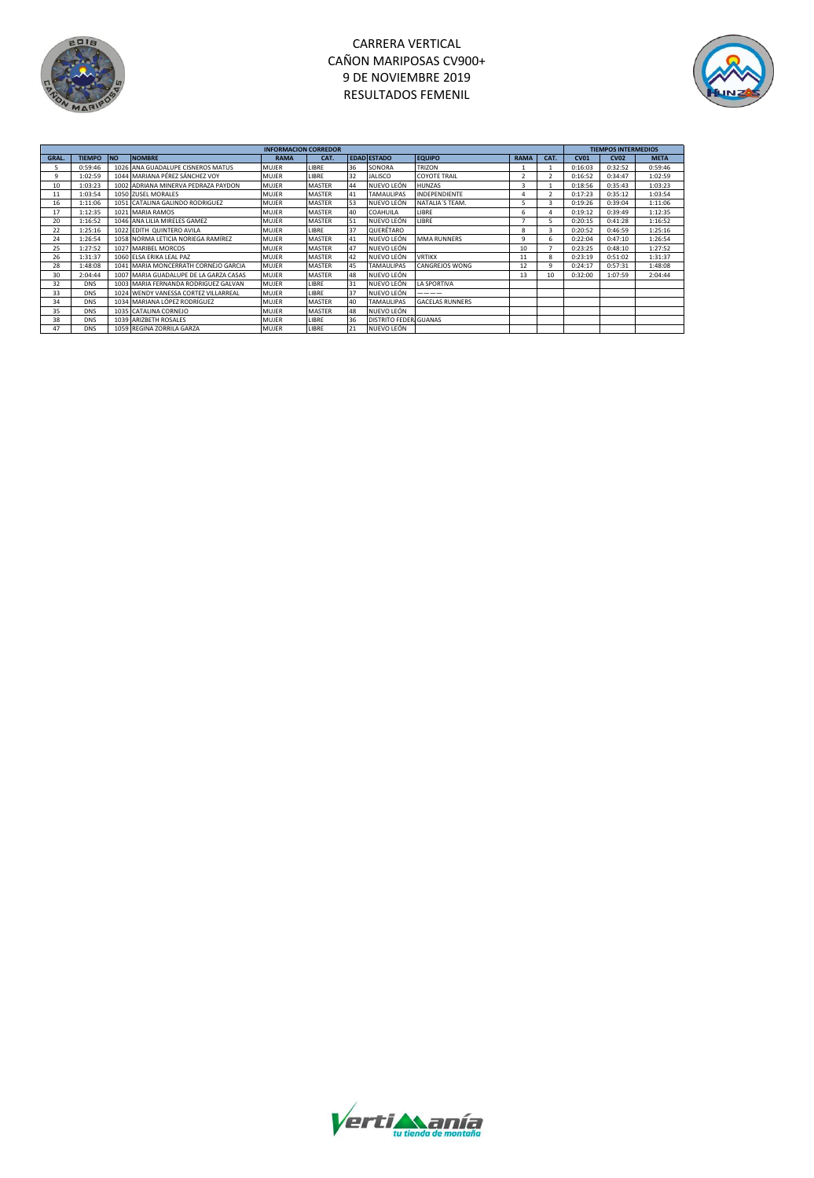

# CARRERA VERTICAL CAÑON MARIPOSAS CV900+ 9 DE NOVIEMBRE 2019 RESULTADOS FEMENIL



|       |               |           |                                        | <b>INFORMACION CORREDOR</b> |               |    |                       |                        |             |      |         | <b>TIEMPOS INTERMEDIOS</b> |             |  |  |
|-------|---------------|-----------|----------------------------------------|-----------------------------|---------------|----|-----------------------|------------------------|-------------|------|---------|----------------------------|-------------|--|--|
| GRAL. | <b>TIEMPO</b> | <b>NO</b> | <b>NOMBRE</b>                          | <b>RAMA</b>                 | CAT.          |    | <b>EDAD ESTADO</b>    | <b>EQUIPO</b>          | <b>RAMA</b> | CAT. | CVO1    | <b>CV02</b>                | <b>META</b> |  |  |
| 5     | 0:59:46       |           | 1026 ANA GUADALUPE CISNEROS MATUS      | MUJER                       | LIBRE         | 36 | SONORA                | TRIZON                 |             |      | 0:16:03 | 0:32:52                    | 0:59:46     |  |  |
| 9     | 1:02:59       |           | 1044 MARIANA PÉREZ SÁNCHEZ VOY         | <b>MUJER</b>                | <b>LIBRE</b>  | 32 | <b>JALISCO</b>        | <b>COYOTE TRAIL</b>    |             |      | 0:16:52 | 0:34:47                    | 1:02:59     |  |  |
| 10    | 1:03:23       |           | 1002 ADRIANA MINERVA PEDRAZA PAYDON    | MUJER                       | MASTER        | 44 | NUEVO LEÓN            | <b>HUNZAS</b>          | 3           |      | 0:18:56 | 0:35:43                    | 1:03:23     |  |  |
| 11    | 1:03:54       |           | 1050 ZUSEL MORALES                     | <b>MUJER</b>                | <b>MASTER</b> | 41 | <b>TAMAULIPAS</b>     | <b>INDEPENDIENTE</b>   |             |      | 0:17:23 | 0:35:12                    | 1:03:54     |  |  |
| 16    | 1:11:06       |           | 1051 CATALINA GALINDO RODRIGUEZ        | MUJER                       | MASTER        | 53 | NUEVO LEÓN            | NATALIA'S TEAM.        |             |      | 0:19:26 | 0:39:04                    | 1:11:06     |  |  |
| 17    | 1:12:35       |           | 1021 MARIA RAMOS                       | MUJER                       | <b>MASTER</b> | 40 | COAHUILA              | LIBRE                  | 6           |      | 0:19:12 | 0:39:49                    | 1:12:35     |  |  |
| 20    | 1:16:52       |           | 1046 ANA LILIA MIRELES GAMEZ           | MUJER                       | <b>MASTER</b> | 51 | NUEVO LEÓN            | LIBRE                  |             |      | 0:20:15 | 0:41:28                    | 1:16:52     |  |  |
| 22    | 1:25:16       |           | 1022 EDITH QUINTERO AVILA              | MUJER                       | LIBRE         | 37 | QUERÉTARO             |                        | я           |      | 0:20:52 | 0:46:59                    | 1:25:16     |  |  |
| 24    | 1:26:54       |           | 1058 NORMA LETICIA NORIEGA RAMÍREZ     | <b>MUJER</b>                | <b>MASTER</b> | 41 | NUEVO LEÓN            | <b>MMA RUNNERS</b>     | ٩           |      | 0:22:04 | 0:47:10                    | 1:26:54     |  |  |
| 25    | 1:27:52       |           | 1027 MARIBEL MORCOS                    | MUJER                       | MASTER        | 47 | NUEVO LEÓN            |                        | 10          |      | 0:23:25 | 0:48:10                    | 1:27:52     |  |  |
| 26    | 1:31:37       |           | 1060 ELSA ERIKA LEAL PAZ               | MUJER                       | MASTER        | 42 | NUEVO LEÓN            | <b>VRTIKX</b>          | 11          |      | 0:23:19 | 0:51:02                    | 1:31:37     |  |  |
| 28    | 1:48:08       |           | 1041 MARIA MONCERRATH CORNEJO GARCIA   | MUJER                       | MASTER        | 45 | <b>TAMAULIPAS</b>     | CANGREJOS WONG         | 12          |      | 0:24:17 | 0:57:31                    | 1:48:08     |  |  |
| 30    | 2:04:44       |           | 1007 MARIA GUADALUPE DE LA GARZA CASAS | <b>MUJER</b>                | <b>MASTER</b> | 48 | NUEVO LEÓN            |                        | 13          | 10   | 0:32:00 | 1:07:59                    | 2:04:44     |  |  |
| 32    | <b>DNS</b>    |           | 1003 MARIA FERNANDA RODRIGUEZ GALVAN   | MUJER                       | LIBRE         | 31 | NUEVO LEÓN            | <b>LA SPORTIVA</b>     |             |      |         |                            |             |  |  |
| 33    | <b>DNS</b>    |           | 1024 WENDY VANESSA CORTEZ VILLARREAL   | <b>MUJER</b>                | LIBRE         | 37 | NUEVO LEÓN            | ----                   |             |      |         |                            |             |  |  |
| 34    | <b>DNS</b>    |           | 1034 MARIANA LÓPEZ RODRÍGUEZ           | <b>MUJER</b>                | <b>MASTER</b> | 40 | <b>TAMAULIPAS</b>     | <b>GACELAS RUNNERS</b> |             |      |         |                            |             |  |  |
| 35    | DNS           |           | 1035 CATALINA CORNEJO                  | MUJER                       | <b>MASTER</b> | 48 | NUEVO LEÓN            |                        |             |      |         |                            |             |  |  |
| 38    | <b>DNS</b>    |           | 1039 ARIZBETH ROSALES                  | <b>MUJER</b>                | LIBRE         | 36 | DISTRITO FEDER GUANAS |                        |             |      |         |                            |             |  |  |
| 47    | <b>DNS</b>    |           | 1059 REGINA ZORRILA GARZA              | MUJER                       | LIBRE         | 21 | NUEVO LEÓN            |                        |             |      |         |                            |             |  |  |

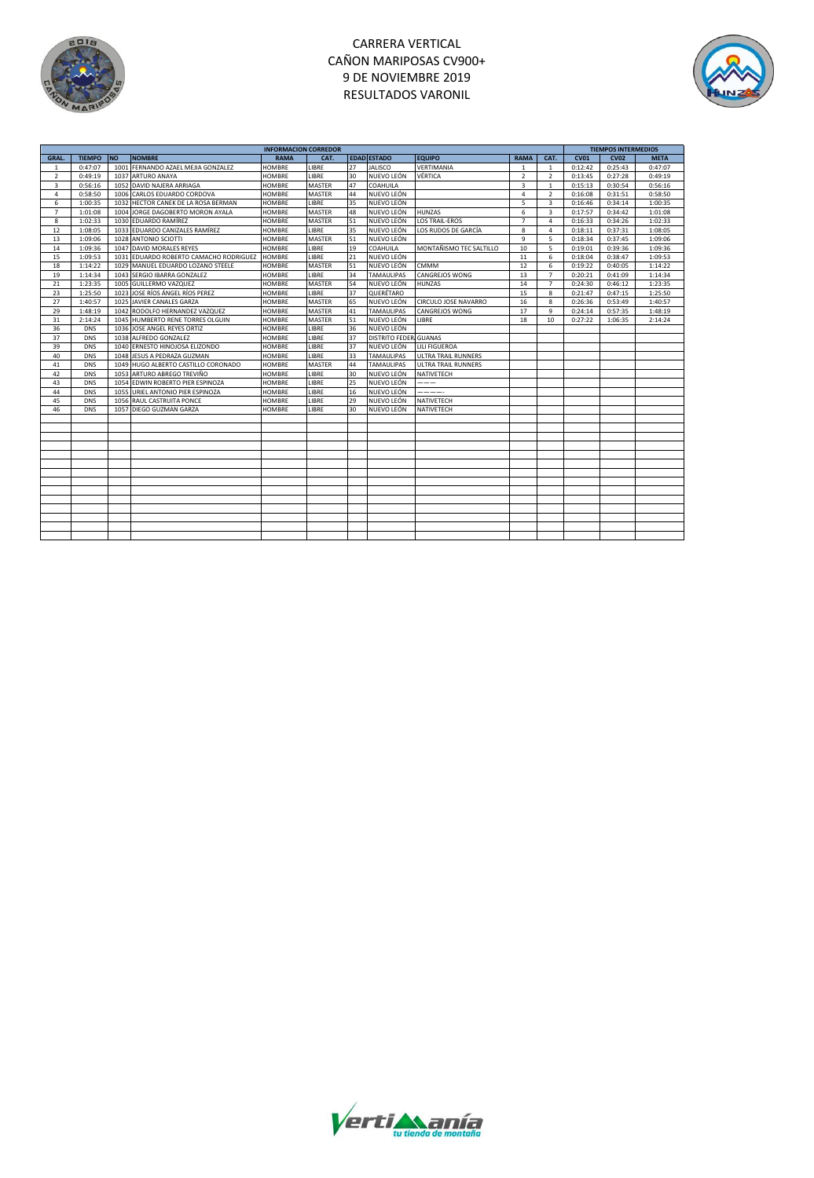

# CARRERA VERTICAL CAÑON MARIPOSAS CV900+ 9 DE NOVIEMBRE 2019 RESULTADOS VARONIL



|                |               |           |                                        | <b>INFORMACION CORREDOR</b> |               |    |                       |                            |                |                         | <b>TIEMPOS INTERMEDIOS</b> |             |             |
|----------------|---------------|-----------|----------------------------------------|-----------------------------|---------------|----|-----------------------|----------------------------|----------------|-------------------------|----------------------------|-------------|-------------|
| <b>GRAL.</b>   | <b>TIEMPO</b> | <b>NO</b> | <b>NOMBRE</b>                          | <b>RAMA</b>                 | CAT.          |    | <b>EDAD ESTADO</b>    | <b>EQUIPO</b>              | <b>RAMA</b>    | CAT.                    | <b>CV01</b>                | <b>CV02</b> | <b>META</b> |
| $\mathbf{1}$   | 0:47:07       | 1001      | FERNANDO AZAEL MEJIA GONZALEZ          | <b>HOMBRE</b>               | LIBRE         | 27 | <b>JALISCO</b>        | VERTIMANIA                 | $\mathbf{1}$   | $\mathbf{1}$            | 0:12:42                    | 0:25:43     | 0:47:07     |
| $\overline{2}$ | 0:49:19       |           | 1037 ARTURO ANAYA                      | <b>HOMBRE</b>               | LIBRE         | 30 | NUEVO LEÓN            | VÉRTICA                    | $\overline{2}$ | $\mathcal{L}$           | 0:13:45                    | 0:27:28     | 0:49:19     |
| 3              | 0:56:16       |           | 1052 DAVID NAJERA ARRIAGA              | <b>HOMBRE</b>               | MASTER        | 47 | COAHUILA              |                            | 3              | $\mathbf{1}$            | 0:15:13                    | 0:30:54     | 0:56:16     |
| $\overline{4}$ | 0:58:50       |           | 1006 CARLOS EDUARDO CORDOVA            | HOMBRE                      | MASTER        | 44 | NUEVO LEÓN            |                            | 4              | $\overline{2}$          | 0:16:08                    | 0:31:51     | 0:58:50     |
| 6              | 1:00:35       |           | 1032 HECTOR CANEK DE LA ROSA BERMAN    | <b>HOMBRE</b>               | LIBRE         | 35 | NUEVO LEÓN            |                            | 5              | $\overline{\mathbf{3}}$ | 0:16:46                    | 0:34:14     | 1:00:35     |
| $\overline{7}$ | 1:01:08       | 1004      | JORGE DAGOBERTO MORON AYALA            | <b>HOMBRE</b>               | MASTER        | 48 | NUEVO LEÓN            | <b>HUNZAS</b>              | 6              | $\overline{\mathbf{3}}$ | 0:17:57                    | 0:34:42     | 1:01:08     |
| 8              | 1:02:33       |           | 1030 EDUARDO RAMÍREZ                   | <b>HOMBRE</b>               | MASTER        | 51 | NUEVO LEÓN            | <b>LOS TRAIL-EROS</b>      | $\overline{7}$ | $\sqrt{4}$              | 0:16:33                    | 0:34:26     | 1:02:33     |
| 12             | 1:08:05       |           | 1033 EDUARDO CANIZALES RAMÍREZ         | <b>HOMBRE</b>               | LIBRE         | 35 | NUEVO LEÓN            | LOS RUDOS DE GARCÍA        | 8              | 4                       | 0:18:11                    | 0:37:31     | 1:08:05     |
| 13             | 1:09:06       |           | 1028 ANTONIO SCIOTTI                   | <b>HOMBRE</b>               | <b>MASTER</b> | 51 | NUEVO LEÓN            |                            | $\overline{9}$ | 5                       | 0:18:34                    | 0:37:45     | 1:09:06     |
| 14             | 1:09:36       | 1047      | DAVID MORALES REYES                    | <b>HOMBRE</b>               | LIBRE         | 19 | COAHUILA              | MONTAÑISMO TEC SALTILLO    | 10             | 5                       | 0:19:01                    | 0:39:36     | 1:09:36     |
| 15             | 1:09:53       |           | 1031 EDUARDO ROBERTO CAMACHO RODRIGUEZ | <b>HOMBRE</b>               | LIBRE         | 21 | NUEVO LEÓN            |                            | 11             | 6                       | 0:18:04                    | 0:38:47     | 1:09:53     |
| 18             | 1:14:22       | 1029      | MANUEL EDUARDO LOZANO STEELE           | <b>HOMBRE</b>               | MASTER        | 51 | NUEVO LEÓN            | <b>CMMM</b>                | 12             | 6                       | 0:19:22                    | 0:40:05     | 1:14:22     |
| 19             | 1:14:34       |           | 1043 SERGIO IBARRA GONZALEZ            | <b>HOMBRE</b>               | LIBRE         | 34 | <b>TAMAULIPAS</b>     | <b>CANGREJOS WONG</b>      | 13             | $\overline{7}$          | 0:20:21                    | 0:41:09     | 1:14:34     |
| 21             | 1:23:35       | 1005      | GUILLERMO VAZQUEZ                      | <b>HOMBRE</b>               | MASTER        | 54 | NUEVO LEÓN            | <b>HUNZAS</b>              | 14             | $\overline{7}$          | 0:24:30                    | 0:46:12     | 1:23:35     |
| 23             | 1:25:50       | 1023      | JOSE RÍOS ÁNGEL RÍOS PEREZ             | <b>HOMBRE</b>               | LIBRE         | 37 | QUERÉTARO             |                            | 15             | $\mathbf{R}$            | 0:21:47                    | 0:47:15     | 1:25:50     |
| 27             | 1:40:57       |           | 1025 JAVIER CANALES GARZA              | <b>HOMBRE</b>               | MASTER        | 65 | NUEVO LEÓN            | CIRCULO JOSE NAVARRO       | 16             | $\mathbf{R}$            | 0:26:36                    | 0:53:49     | 1:40:57     |
| 29             | 1:48:19       |           | 1042 RODOLFO HERNANDEZ VAZQUEZ         | HOMBRE                      | MASTER        | 41 | <b>TAMAULIPAS</b>     | <b>CANGREJOS WONG</b>      | 17             | $\mathbf{Q}$            | 0:24:14                    | 0:57:35     | 1:48:19     |
| 31             | 2:14:24       |           | 1045 HUMBERTO RENE TORRES OLGUIN       | <b>HOMBRE</b>               | MASTER        | 51 | NUEVO LEÓN            | LIBRE                      | 18             | 10                      | 0:27:22                    | 1:06:35     | 2:14:24     |
| 36             | <b>DNS</b>    |           | 1036 JOSE ANGEL REYES ORTIZ            | <b>HOMBRE</b>               | LIBRE         | 36 | NUEVO LEÓN            |                            |                |                         |                            |             |             |
| 37             | <b>DNS</b>    |           | 1038 ALFREDO GONZALEZ                  | <b>HOMBRE</b>               | LIBRE         | 37 | DISTRITO FEDER GUANAS |                            |                |                         |                            |             |             |
| 39             | <b>DNS</b>    | 1040      | ERNESTO HINOJOSA ELIZONDO              | <b>HOMBRE</b>               | LIBRE         | 37 | NUEVO LEÓN            | LILI FIGUEROA              |                |                         |                            |             |             |
| 40             | <b>DNS</b>    |           | 1048 JESUS A PEDRAZA GUZMAN            | <b>HOMBRE</b>               | LIBRE         | 33 | <b>TAMAULIPAS</b>     | <b>ULTRA TRAIL RUNNERS</b> |                |                         |                            |             |             |
| 41             | <b>DNS</b>    |           | 1049 HUGO ALBERTO CASTILLO CORONADO    | <b>HOMBRE</b>               | MASTER        | 44 | <b>TAMAULIPAS</b>     | <b>ULTRA TRAIL RUNNERS</b> |                |                         |                            |             |             |
| 42             | <b>DNS</b>    |           | 1053 ARTURO ABREGO TREVIÑO             | <b>HOMBRE</b>               | LIBRE         | 30 | NUEVO LEÓN            | NATIVETECH                 |                |                         |                            |             |             |
| 43             | <b>DNS</b>    | 1054      | EDWIN ROBERTO PIER ESPINOZA            | HOMBRE                      | LIBRE         | 25 | NUEVO LEÓN            | ---                        |                |                         |                            |             |             |
| 44             | <b>DNS</b>    |           | 1055 URIEL ANTONIO PIER ESPINOZA       | HOMBRE                      | LIBRE         | 16 | NUEVO LEÓN            | -----                      |                |                         |                            |             |             |
| 45             | <b>DNS</b>    | 1056      | RAUL CASTRUITA PONCE                   | HOMBRE                      | LIBRE         | 29 | NUEVO LEÓN            | <b>NATIVETECH</b>          |                |                         |                            |             |             |
| 46             | <b>DNS</b>    |           | 1057 DIEGO GUZMAN GARZA                | <b>HOMBRE</b>               | LIBRE         | 30 | NUEVO LEÓN            | <b>NATIVETECH</b>          |                |                         |                            |             |             |
|                |               |           |                                        |                             |               |    |                       |                            |                |                         |                            |             |             |
|                |               |           |                                        |                             |               |    |                       |                            |                |                         |                            |             |             |
|                |               |           |                                        |                             |               |    |                       |                            |                |                         |                            |             |             |
|                |               |           |                                        |                             |               |    |                       |                            |                |                         |                            |             |             |
|                |               |           |                                        |                             |               |    |                       |                            |                |                         |                            |             |             |
|                |               |           |                                        |                             |               |    |                       |                            |                |                         |                            |             |             |
|                |               |           |                                        |                             |               |    |                       |                            |                |                         |                            |             |             |
|                |               |           |                                        |                             |               |    |                       |                            |                |                         |                            |             |             |
|                |               |           |                                        |                             |               |    |                       |                            |                |                         |                            |             |             |
|                |               |           |                                        |                             |               |    |                       |                            |                |                         |                            |             |             |
|                |               |           |                                        |                             |               |    |                       |                            |                |                         |                            |             |             |
|                |               |           |                                        |                             |               |    |                       |                            |                |                         |                            |             |             |
|                |               |           |                                        |                             |               |    |                       |                            |                |                         |                            |             |             |
|                |               |           |                                        |                             |               |    |                       |                            |                |                         |                            |             |             |

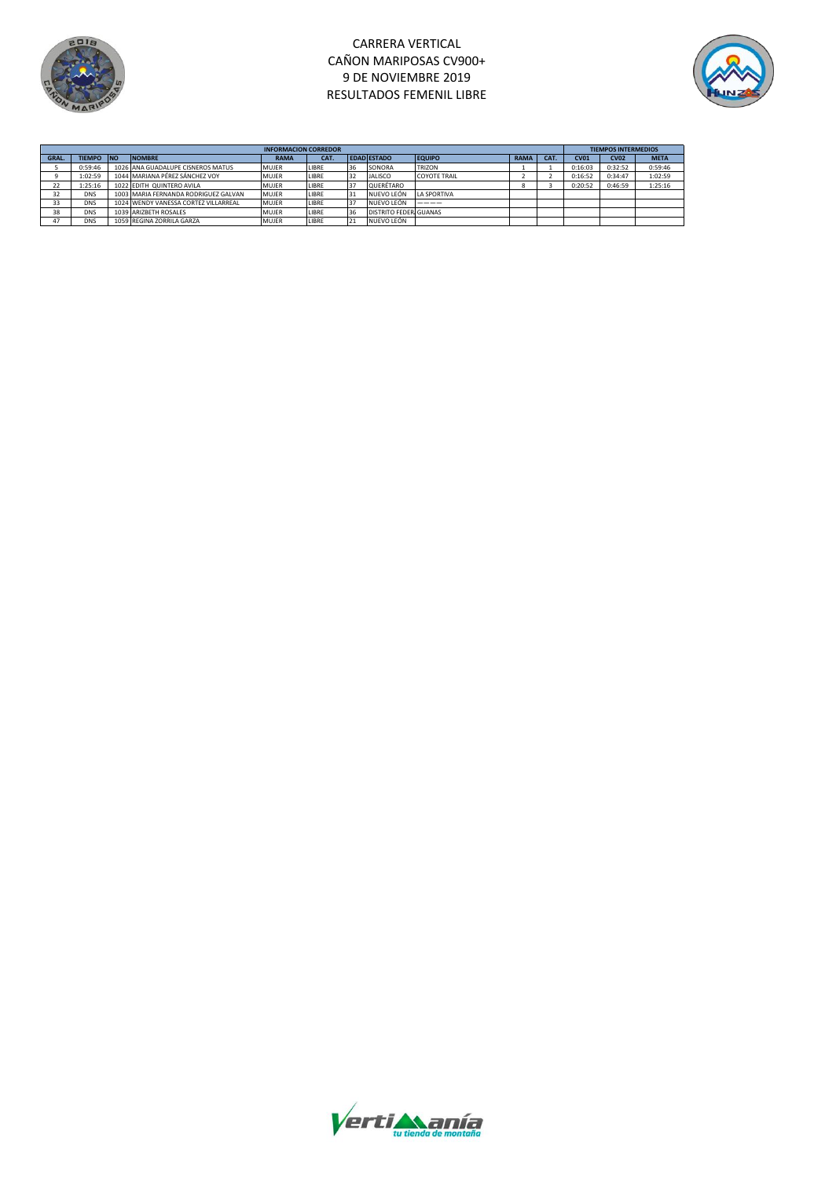

### CARRERA VERTICAL CAÑON MARIPOSAS CV900+ 9 DE NOVIEMBRE 2019 RESULTADOS FEMENIL LIBRE



|       | <b>INFORMACION CORREDOR</b> |  |                                      |              |       |    |                       |                     |             |      |         | <b>TIEMPOS INTERMEDIOS</b> |             |  |
|-------|-----------------------------|--|--------------------------------------|--------------|-------|----|-----------------------|---------------------|-------------|------|---------|----------------------------|-------------|--|
| GRAL. | <b>TIEMPO NO</b>            |  | <b>NOMBRE</b>                        | <b>RAMA</b>  | CAT.  |    | <b>EDAD ESTADO</b>    | <b>EQUIPO</b>       | <b>RAMA</b> | CAT. | CVO1    | <b>CV02</b>                | <b>META</b> |  |
|       | 0:59:46                     |  | 1026 ANA GUADALUPE CISNEROS MATUS    | <b>MUJER</b> | LIBRE | 36 | SONORA                | <b>TRIZON</b>       |             |      | 0:16:03 | 0:32:52                    | 0:59:46     |  |
|       | 1:02:59                     |  | 1044 MARIANA PÉREZ SÁNCHEZ VOY       | MUJER        | LIBRE | 32 | <b>JALISCO</b>        | <b>COYOTE TRAIL</b> |             |      | 0:16:52 | 0:34:47                    | 1:02:59     |  |
| 22    | 1:25:16                     |  | 1022 EDITH QUINTERO AVILA            | MUJER        | LIBRE | 37 | QUERÉTARO             |                     |             |      | 0:20:52 | 0:46:59                    | 1:25:16     |  |
| 32    | DNS                         |  | 1003 MARIA FERNANDA RODRIGUEZ GALVAN | <b>MUJER</b> | LIBRE | 31 | NUEVO LEÓN            | <b>I A SPORTIVA</b> |             |      |         |                            |             |  |
| 33    | DNS                         |  | 1024 WENDY VANESSA CORTEZ VILLARREAL | <b>MUJER</b> | LIBRE | 37 | NUEVO LEÓN            |                     |             |      |         |                            |             |  |
| 38    | DNS                         |  | 1039 ARIZBETH ROSALES                | MUJER        | LIBRE | 36 | DISTRITO FEDER GUANAS |                     |             |      |         |                            |             |  |
| 47    | <b>DNS</b>                  |  | 1059 REGINA ZORRILA GARZA            | MUJER        | LIBRE | 21 | NUEVO LEÓN            |                     |             |      |         |                            |             |  |

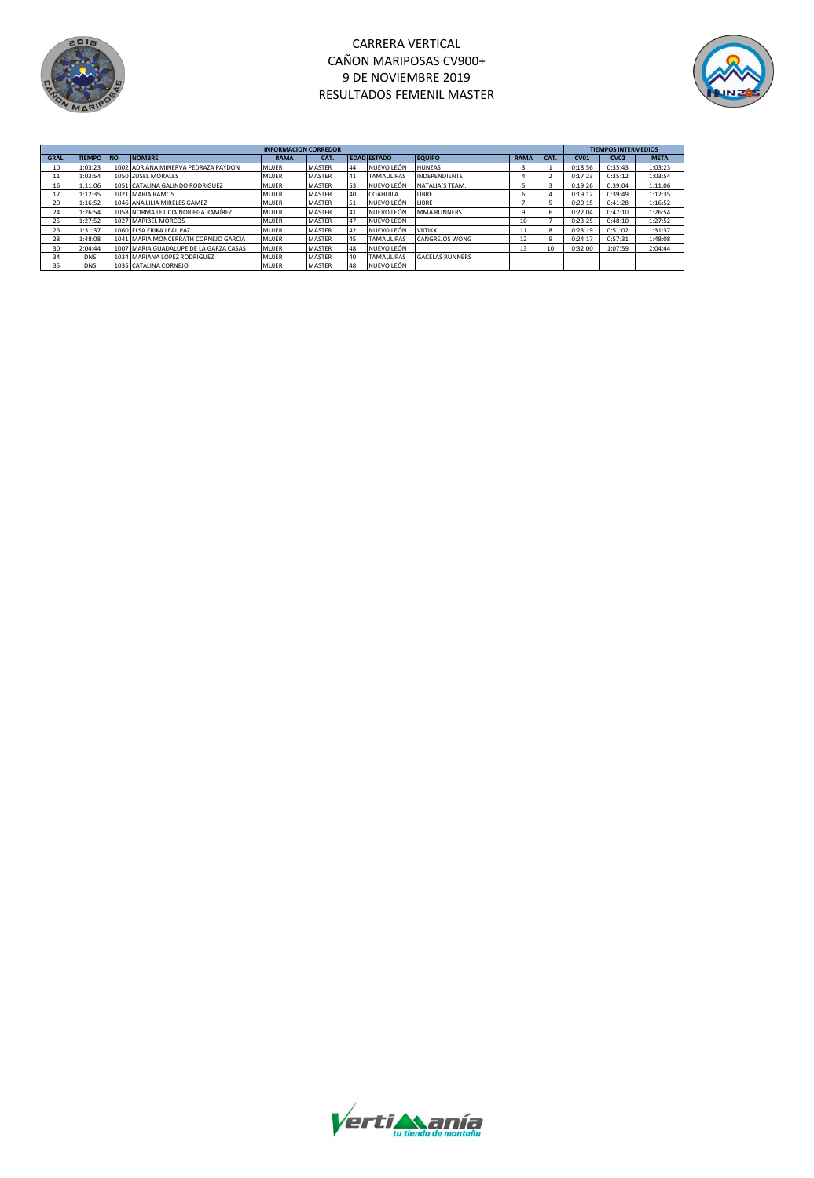

## CARRERA VERTICAL CAÑON MARIPOSAS CV900+ 9 DE NOVIEMBRE 2019 RESULTADOS FEMENIL MASTER



|       | <b>INFORMACION CORREDOR</b> |            |                                        |              |               |    |                    |                        |             |      |             |             | <b>TIEMPOS INTERMEDIOS</b> |  |  |
|-------|-----------------------------|------------|----------------------------------------|--------------|---------------|----|--------------------|------------------------|-------------|------|-------------|-------------|----------------------------|--|--|
| GRAL. | <b>TIEMPO</b>               | <b>INO</b> | <b>NOMBRE</b>                          | <b>RAMA</b>  | CAT.          |    | <b>EDAD ESTADO</b> | <b>EQUIPO</b>          | <b>RAMA</b> | CAT. | <b>CV01</b> | <b>CV02</b> | <b>META</b>                |  |  |
| 10    | 1:03:23                     |            | 1002 ADRIANA MINERVA PEDRAZA PAYDON    | <b>MUJER</b> | <b>MASTER</b> | 44 | NUEVO LEÓN         | <b>HUNZAS</b>          |             |      | 0:18:56     | 0:35:43     | 1:03:23                    |  |  |
| 11    | 1:03:54                     |            | 1050 ZUSEL MORALES                     | <b>MUJER</b> | <b>MASTER</b> | 41 | <b>TAMAULIPAS</b>  | <b>INDEPENDIENTE</b>   |             |      | 0:17:23     | 0:35:12     | 1:03:54                    |  |  |
| 16    | 1:11:06                     |            | 1051 CATALINA GALINDO RODRIGUEZ        | <b>MUJER</b> | <b>MASTER</b> | 53 | NUEVO LEÓN         | NATALIA'S TEAM.        |             |      | 0:19:26     | 0:39:04     | 1:11:06                    |  |  |
|       | 1:12:35                     |            | 1021 MARIA RAMOS                       | <b>MUJER</b> | <b>MASTER</b> | 40 | COAHUILA           | LIBRE                  | h           |      | 0:19:12     | 0:39:49     | 1:12:35                    |  |  |
| 20    | 1:16:52                     |            | 1046 ANA LILIA MIRELES GAMEZ           | MUJER        | <b>MASTER</b> | 51 | NUEVO LEÓN         | LIBRE                  |             |      | 0:20:15     | 0:41:28     | 1:16:52                    |  |  |
| 24    | 1:26:54                     |            | 1058 NORMA LETICIA NORIEGA RAMÍREZ     | <b>MUJER</b> | <b>MASTER</b> | 41 | NUEVO LEÓN         | MMA RUNNERS            |             | b    | 0:22:04     | 0:47:10     | 1:26:54                    |  |  |
| 25    | 1:27:52                     |            | 1027 MARIBEL MORCOS                    | <b>MUJER</b> | <b>MASTER</b> | 47 | NUEVO LEÓN         |                        | 10          |      | 0:23:25     | 0:48:10     | 1:27:52                    |  |  |
| 26    | 1:31:37                     |            | 1060 ELSA ERIKA LEAL PAZ               | <b>MUJER</b> | <b>MASTER</b> | 42 | NUEVO LEÓN         | <b>VRTIKX</b>          | 11          | 8    | 0:23:19     | 0:51:02     | 1:31:37                    |  |  |
| 28    | 1:48:08                     |            | 1041 MARIA MONCERRATH CORNEJO GARCIA   | <b>MUJER</b> | <b>MASTER</b> | 45 | <b>TAMAULIPAS</b>  | <b>CANGREJOS WONG</b>  | 12          |      | 0:24:17     | 0:57:31     | 1:48:08                    |  |  |
| 30    | 2:04:44                     |            | 1007 MARIA GUADALUPE DE LA GARZA CASAS | <b>MUJER</b> | <b>MASTER</b> | 48 | NUEVO LEÓN         |                        | 13          | 10   | 0:32:00     | 1:07:59     | 2:04:44                    |  |  |
| 34    | <b>DNS</b>                  |            | 1034 MARIANA LÓPEZ RODRÍGUEZ           | <b>MUJER</b> | <b>MASTER</b> | 40 | <b>TAMAULIPAS</b>  | <b>GACELAS RUNNERS</b> |             |      |             |             |                            |  |  |
| 35    | <b>DNS</b>                  |            | 1035 CATALINA CORNEJO                  | <b>MUJER</b> | <b>MASTER</b> | 48 | NUEVO LEÓN         |                        |             |      |             |             |                            |  |  |

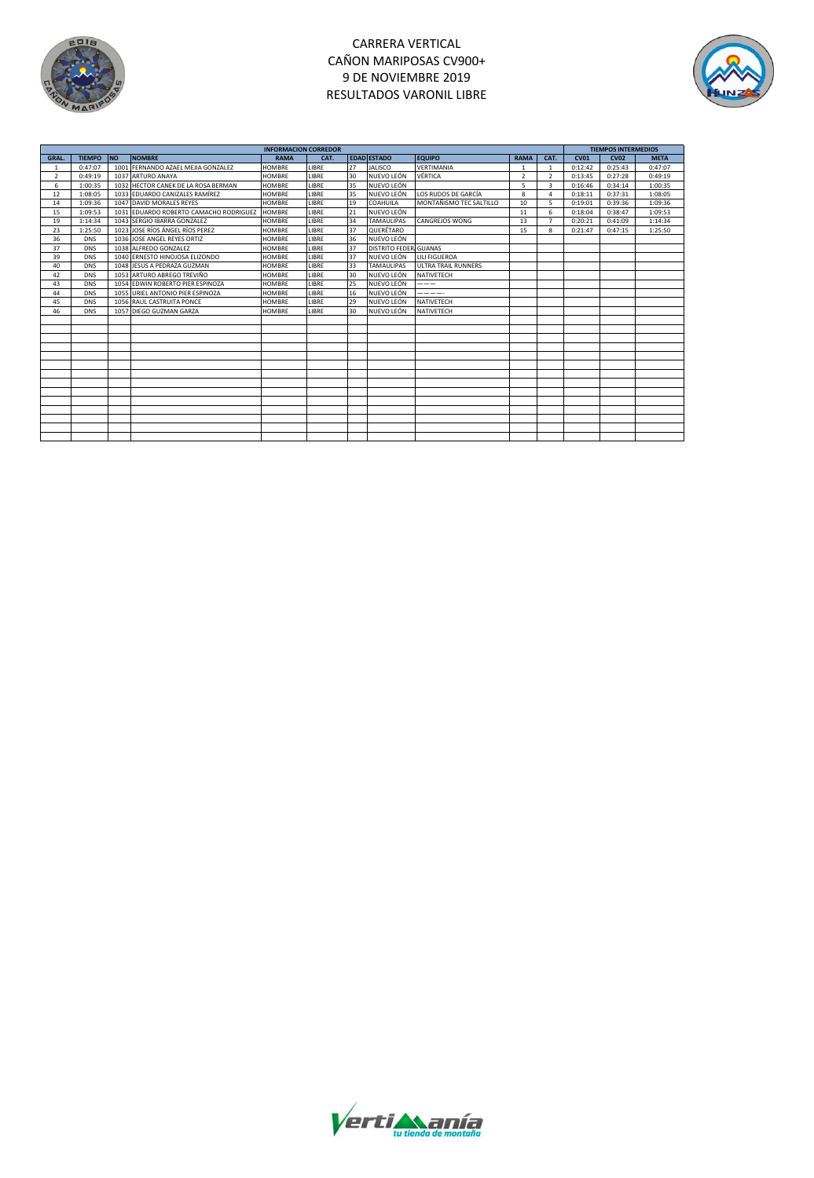

# CARRERA VERTICAL CAÑON MARIPOSAS CV900+ 9 DE NOVIEMBRE 2019 RESULTADOS VARONIL LIBRE



|               |               |           | <b>INFORMACION CORREDOR</b>            |               |       |    |                       | <b>TIEMPOS INTERMEDIOS</b> |                |                |             |             |             |
|---------------|---------------|-----------|----------------------------------------|---------------|-------|----|-----------------------|----------------------------|----------------|----------------|-------------|-------------|-------------|
| <b>GRAL</b>   | <b>TIEMPO</b> | <b>NO</b> | <b>NOMBRE</b>                          | <b>RAMA</b>   | CAT.  |    | <b>EDAD ESTADO</b>    | <b>EQUIPO</b>              | <b>RAMA</b>    | CAT.           | <b>CV01</b> | <b>CV02</b> | <b>META</b> |
| $\mathbf{1}$  | 0:47:07       |           | 1001 FERNANDO AZAEL MEJIA GONZALEZ     | <b>HOMBRE</b> | LIBRE | 27 | <b>JALISCO</b>        | VERTIMANIA                 |                | $\mathbf{1}$   | 0:12:42     | 0:25:43     | 0:47:07     |
| $\mathcal{P}$ | 0:49:19       |           | 1037 ARTURO ANAYA                      | <b>HOMBRE</b> | LIBRE | 30 | NUEVO LEÓN            | VÉRTICA                    | $\overline{2}$ | $\mathcal{P}$  | 0:13:45     | 0:27:28     | 0:49:19     |
| 6             | 1:00:35       |           | 1032 HECTOR CANEK DE LA ROSA BERMAN    | <b>HOMBRE</b> | LIBRE | 35 | NUEVO LEÓN            |                            | 5              | 3              | 0:16:46     | 0:34:14     | 1:00:35     |
| 12            | 1:08:05       |           | 1033 EDUARDO CANIZALES RAMÍREZ         | <b>HOMBRE</b> | LIBRE | 35 | NUEVO LEÓN            | LOS RUDOS DE GARCÍA        | 8              | 4              | 0:18:11     | 0:37:31     | 1:08:05     |
| 14            | 1:09:36       |           | 1047 DAVID MORALES REYES               | <b>HOMBRE</b> | LIBRE | 19 | COAHUILA              | MONTAÑISMO TEC SALTILLO    | 10             | 5              | 0:19:01     | 0:39:36     | 1:09:36     |
| 15            | 1:09:53       |           | 1031 EDUARDO ROBERTO CAMACHO RODRIGUEZ | <b>HOMBRE</b> | LIBRE | 21 | NUEVO LEÓN            |                            | 11             | 6              | 0:18:04     | 0:38:47     | 1:09:53     |
| 19            | 1:14:34       |           | 1043 SERGIO IBARRA GONZALEZ            | <b>HOMBRE</b> | LIBRE | 34 | <b>TAMAULIPAS</b>     | CANGREJOS WONG             | 13             | $\overline{7}$ | 0:20:21     | 0:41:09     | 1:14:34     |
| 23            | 1:25:50       |           | 1023 JOSE RÍOS ÁNGEL RÍOS PEREZ        | <b>HOMBRE</b> | LIBRE | 37 | QUERÉTARO             |                            | 15             | $\mathbf{R}$   | 0:21:47     | 0:47:15     | 1:25:50     |
| 36            | <b>DNS</b>    |           | 1036 JOSE ANGEL REYES ORTIZ            | <b>HOMBRE</b> | LIBRE | 36 | NUEVO LEÓN            |                            |                |                |             |             |             |
| 37            | <b>DNS</b>    |           | 1038 ALFREDO GONZALEZ                  | <b>HOMBRE</b> | LIBRE | 37 | DISTRITO FEDER GUANAS |                            |                |                |             |             |             |
| 39            | <b>DNS</b>    |           | 1040 ERNESTO HINOJOSA ELIZONDO         | <b>HOMBRE</b> | LIBRE | 37 | NUEVO LEÓN            | LILI FIGUEROA              |                |                |             |             |             |
| 40            | <b>DNS</b>    |           | 1048 JESUS A PEDRAZA GUZMAN            | <b>HOMBRE</b> | LIBRE | 33 | <b>TAMAULIPAS</b>     | <b>ULTRA TRAIL RUNNERS</b> |                |                |             |             |             |
| 42            | <b>DNS</b>    |           | 1053 ARTURO ABREGO TREVIÑO             | <b>HOMBRE</b> | LIBRE | 30 | NUEVO LEÓN            | NATIVETECH                 |                |                |             |             |             |
| 43            | <b>DNS</b>    |           | 1054 EDWIN ROBERTO PIER ESPINOZA       | <b>HOMBRE</b> | LIBRE | 25 | NUEVO LEÓN            | $---$                      |                |                |             |             |             |
| 44            | <b>DNS</b>    |           | 1055 URIEL ANTONIO PIER ESPINOZA       | <b>HOMBRE</b> | LIBRE | 16 | NUEVO LEÓN            | -----                      |                |                |             |             |             |
| 45            | <b>DNS</b>    |           | 1056 RAUL CASTRUITA PONCE              | <b>HOMBRE</b> | LIBRE | 29 | NUEVO LEÓN            | NATIVETECH                 |                |                |             |             |             |
| 46            | <b>DNS</b>    |           | 1057 DIEGO GUZMAN GARZA                | <b>HOMBRE</b> | LIBRE | 30 | NUEVO LEÓN            | NATIVETECH                 |                |                |             |             |             |
|               |               |           |                                        |               |       |    |                       |                            |                |                |             |             |             |
|               |               |           |                                        |               |       |    |                       |                            |                |                |             |             |             |
|               |               |           |                                        |               |       |    |                       |                            |                |                |             |             |             |
|               |               |           |                                        |               |       |    |                       |                            |                |                |             |             |             |
|               |               |           |                                        |               |       |    |                       |                            |                |                |             |             |             |
|               |               |           |                                        |               |       |    |                       |                            |                |                |             |             |             |
|               |               |           |                                        |               |       |    |                       |                            |                |                |             |             |             |
|               |               |           |                                        |               |       |    |                       |                            |                |                |             |             |             |
|               |               |           |                                        |               |       |    |                       |                            |                |                |             |             |             |
|               |               |           |                                        |               |       |    |                       |                            |                |                |             |             |             |
|               |               |           |                                        |               |       |    |                       |                            |                |                |             |             |             |
|               |               |           |                                        |               |       |    |                       |                            |                |                |             |             |             |
|               |               |           |                                        |               |       |    |                       |                            |                |                |             |             |             |
|               |               |           |                                        |               |       |    |                       |                            |                |                |             |             |             |